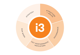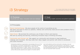# i3 Strategy

i3 is a place where ideas are encouraged, creativity cultivated and energy is contagious

### i3 Purpose Accelerate your ideas, innovation and care redesign

i3 Goal Outstanding health outcomes and patient experience

### i3 Principles

Person Centred Design: We place people at the centre of everything we do. We watch and listen to what our patients, whānau and community need and we solve problems from a person perspective

Data Driven: We promote the continuous use of data to inform and improve. We work by testing and learning, embracing innovative ways of thinking and doing

Community and Clinician Led: We support our community and clinicians to lead healthcare redesign and innovation. We help make their ideas happen and partner with others to accelerate and scale innovation

Outstanding healthcare organisations acknowledge that one of the key elements of successful transformation is providing clinicians with dedicated resources to enable them to make real and measurable improvement in safety, quality, service and value. These organisations have created innovation and improvement centres that provide expertise and support to frontline staff to

work with patients and the community to develop, test and implement innovation and improvement in care delivery. i3 builds on these exemplars that have achieved transformational change and outstanding performance in delivering high quality, high value care and improved health outcomes.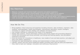### Key Objectives

- Measure, evaluate and maximise health outcomes and patient experience
- Promote and support person centred design to ensure what matters to our patients and our community is at the heart of service design, delivery and improvement
- Conduct and disseminate research in innovation, person-centred design, and evidence-based practice
- Lead, by example, a clinical-community partnership for high value innovative healthcare

### How We Do This

- Bring together critical resources and expertise including clinicians, data architects, engineers, data analysts, anthropologists, health psychologists, improvement specialists, project managers, innovators to support clinicians leading care redesign and best practice
- Use multiple methods to understand the needs of our population
- Design data systems, clinical information systems and activity based cost accounting aligned to clinical work processes and clinical activities, and linking and tracking quality, cost and patient experience outcomes
- Scan the horizon for innovations in healthcare, new models of care and best practice, and adapt and learn from others' experience
- Facilitate the rapid development, testing and implementation of ideas and innovations
- Identify, mentor and train future healthcare leaders providing them with the skills and experience they need to lead care redesign, innovation and continuous improvement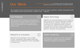We recognise that transformational change that will bring about sustained, reliable organisation-wide and evidence-based improvements in patient care — requires:

### Care Redesign

Making systematic changes to care practices and systems to improve quality, efficiency and effectiveness of patient care. Creating the future of healthcare by re-engineering care around value

### 1) Digital Technology (2

Adoption of new technologies and the design of data systems and clinical information systems so that clinicians, patients, whānau and our community can understand what outcomes and experience matters most to patients, and clinicians can track and continuously improve patients' outcomes and experience

### Research & Innovation



Research and knowledge in new models of care, innovations and evidence-informed practice and the integration of this knowledge in clinical care

### Health Leadership 3 4

Development of people with skills, experience and expertise needed to lead and champion healthcare redesign and innovation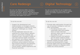## Care Redesign

## 1) Digital Technology (2

Our aim is for Waitemata DHB to develop a systematic and person-centred approach to improving the quality, efficiency, and effectiveness of patient care led by clinicians, patients and the community with support from the i3

Our aim is to facilitate the use of digital tools, mobile technology and social media to improve patient and whānau experience and health outcomes

To do this we will:

- Support the development and implementation of strategic projects that are designed to address our most significant challenges as a health system
- Provide dedicated resources and expertise for clinical teams, patients and our community to design and implement new, innovative models of care that improve health outcomes and patients' and whānau experience
- Support clinicians to design care processes using evidence-informed, best practice protocols and pathways with continuous measurement of clinical quality, patient experience and financial outcomes

To do this we will:

- Promote data optimisation through the use of business intelligence tools and other technologies
	- o Providing clinicians with meaningful data that enables them to make informed decisions about how to improve the quality of care
	- o Helping clinicians and patients get the latest evidence-based best practices at their fingertips
- Promote mobility through mobile devices and development of apps
- Promote digital learning technologies
- Support clinicians to integrate social media into clinical practice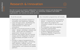## Research & Innovation

Our aim is to act as a hub for collaboration in innovation research and development, bringing together staff, patients, whānau, our community, academic and vendor organisations, and national and global partners

To do this we will:

- Participate and promote research in innovation and healthcare redesign
- Learn through action, facilitating the rapid development, testing and implementation of ideas and innovations
- Provide a structured process to build ideas - design, prototype, analyse and scale - along with the freedom to experiment, disrupt and invent
- Promote and support person centred design and the integration of person centred design principles in all our work
- Provide a range of programmes to incubate promising ideas, connecting staff, patients, whānau, and our community with academic and vendor organisations, and national and global partners

Our innovation programmes will include:

- Horizon scanning and an innovations library - a resource for clinicians to learn about the evidence for innovative models of care and best practice
- An innovation and ideas pipeline
- Innovation partnerships
- Person-centred design projects
- A Patient Reported Outcomes Measures (PROMs) Programme
- Leapfrog Programme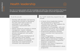## Health leadership

Our aim is to equip people with the knowledge and skills they need to transform the future of healthcare, developing innovation and improvement leaders across the organisation

To do this we will:

- Develop staff education and learning programmes focused on developing the skills staff need to lead and participate in care redesign, continuous improvement and innovation
- Deliver training for clinicians in clinical management, system redesign, operational excellence, team work, process management and quality improvement
- Support the career development of high-potential clinical leaders
- Develop academic partnerships and learning networks to accelerate leadership and implementation of innovation and improvement

Our health leadership programmes will include:

- A tiered clinical leadership training and development programme, 'Transforming Care', that supports the sequential and systematic development of knowledge, skills and experience required for care redesign and continuous quality improvement
- Programmes designed to develop future innovation and improvement leaders
- Fellows Programme
- Public Health Registrar Programme
- RACMA (Royal Australasian College of Medical Administrators) Programme
- Engineers' programme
- Students' and Interns' Programme
- Academic partnerships
- Leadership of the organisation's values programme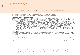## Governance

The work of the Institute will be directed by the existing management structures as outlined below:

- 1. The Director of i3 will report to the CEO. The CEO will approve the i3's work programme and i3's budget.
- 2. The Director off i3 will be a member of the ELT and SMT and will attend the Provider Arm SMT's meetings.

#### **Requests for i3 project management support**

- 3. Requests for i3 project management support can be made to the Director of i3 or other i3 staff member. Requests will be logged in i3's projects register and reported in i3's Innovation and Improvement Team's Active Project Report. Requests will be prioritised by i3 applying i3's Prioritisation Algorithm (Appendix One), a recommendation will be made to SMT by the Director and i3 support will approved by the SMT.
	- a) Requests for i3 project management support for clinical groups within Divisions (for example, developing and implementing clinical protocols, care and process redesign, quality improvement and innovation projects); and project management support for Division clinical programmes (for example, new models of care, clinical pathways, and process improvement) will be prioritised by the Provider Arm SMT. The Director of i3 will make a recommendation to the SMT for i3 support for Division projects based on the Provider Arm SMT's priority and i3's capacity.
	- b) Requests for i3 support for strategic programmes/projects, large scale and organisation-wide redesign projects/work will be approved by SMT/ELT. i3's Director will make a recommendation to ELT/SMT based on i3's application of the Prioritisation Algorithm and i3's capacity. Requests for i3 support for strategic/large-scale projects that involve clinical risk will first be approved by the Clinical Governance Board (a subcommittee of the SMT) and a recommendation of priority for i3 support made by the CGB to the SMT; the CGB will monitor the progress of these projects.

#### **Other i3 support**

4. Requests for other i3 support in addition to/other than project management support (for example, support from Data Analysts, Fellows and Public Health Registrars), will be approved by i3's Director and i3's Senior Management Team according to i3's prioritisation criteria (i3 purpose and skillset) and i3 capacity.

#### **Leapfrog Programme**

- 5. The CEO will approve Leapfrog Programme projects. Each phase of development of the Leapfrog Programme with proposed projects will be approved by the CEO and endorsed by the Board.
- 6. I3's Clinical Director of Innovation, in partnership with the Chief Information Officer (CIO) and i3's Director will lead the development of the Leapfrog Programme. This will include horizon scanning and development of ideas for new Leapfrog projects. Proposals for new Leapfrog projects will be submitted by i3's Clinical Director of Innovation to the CEO for approval.
- 7. Project management support for Leapfrog Programme projects will be determined by i3's Clinical Director of Innovation in collaboration with i3's Director and CIO, and will be approved by the CEO.
- 8. A Leapfrog Programme Working Group will oversee the progression of the programme's projects. The Working Group will be chaired by i3's Clinical Director of Innovation and managed by a Leapfrog Programme Manager. The Working Group will report to the CEO.
- 9. All business cases for Leapfrog Programme projects will be submitted for approval in accordance with the DHB's standard procedures.

#### **Public Health Physicians**

10. Each of i3's three public health physicians will work closely with a Division (Surgery and Ambulatory Services; Acute Medicine and Speciality Medicine Services; and Child Women and Family Services). The work programme of the Public Health Physician in each Division will be agreed between i3's Director and the Head of Analytics, and the Head and the General Manager of each Division, and will be prioritised and aligned with i3's purpose, goals and objectives. In addition, the Public Health Physicians will support i3's work including project data analysis and visualisation, project and research design and publication of i3's work.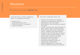## **Structure**

### The i3 structure is set out in **Appendix Two**

i3 will be led by a Senior Leadership Team. Its members will be the:

- Director of i3
- Associate Director of i3
- Clinical Director of Innovation
- Head of Analytics

The Senior Leadership Team will:

- Continue to develop i3's strategy
- Identify and lead opportunities for i3 development and innovation
- Build passion and commitment toward i3's goals
- Attract, develop and retain talented i3 staff, fellows, interns and associates
- Clearly and quickly work through key issues, problems and opportunities
- Create an environment that embraces change, makes change happen, and helps others embrace new ideas
- Proactively build and align i3 champions and supporters
- Develop and approve external organisation partnerships
- Allocate appropriate i3 resources within available funding and capacity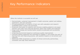## Key Performance Indicators

When the Institute is successful we will see:

- Demonstrable, sustained improvement in health outcomes, patient and whānau experience, and cost outcomes
- On-going generation of evidence of best care with evaluation and research embedded within routine care processes
- Enhanced information for patients and clinicians enabling patients to be equal partners and make more informed decisions about their health and treatment
- Large-scale change and transformation projects accelerated and successfully implemented
- A learning environment based on continuous quality improvement
- Clinicians feeling supported and motivated to engage in, and sustain the work of learning from and improving practice, with positive impacts on recruitment and retention
- Waitemata DHB recognised as a leader of clinical-community partnerships, innovation and high value healthcare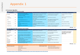## **Appendix 1**

#### i3 Priorisation Algorithm

#### What is the priority of this project for the DHB?

| Element                     | Weighting |                                                                                                                        |                                                                                                             |                                                                             | $\Omega$                                               | Score |
|-----------------------------|-----------|------------------------------------------------------------------------------------------------------------------------|-------------------------------------------------------------------------------------------------------------|-----------------------------------------------------------------------------|--------------------------------------------------------|-------|
| Strategic                   | 25%       | Critical to one or more DHB strategic<br>priorities and 1 or more national strategic<br>goals (directly or as enabler) | Strongly contributes to one or more strategic<br>priorities (directly or as enabler)                        | Contributes to one or more strategic<br>priorities (directly or as enabler) | No clear contribution to strategic<br>priorities       |       |
| Financial<br>sustainability | 20%       | Measurable return on investment - reduction<br>in real costs to DHB                                                    | Measurable ROI - will delay requirement to<br>increase investment in staff, facilities or<br>other resource | Expected to be cost neutral                                                 | Will incur net additional cost to the<br>DHB (-ve ROI) |       |
| <b>Risk</b>                 | 20%       | On DHB risk register with score >=12                                                                                   | Risk to safety but not on register or low score<br>on register                                              | Other significant risk identified (non-<br>financial) but not on register   | Low risk                                               |       |
| Leadership                  | 15%       | Strong clinical leadership with service-related<br>authority                                                           | Strong project clinical leadership                                                                          | Some clinical leadership                                                    | No or unclear leadership                               |       |
| Engagement                  | 10%       | Strong positive engagement from all<br>stakeholders                                                                    | Strong positive engagement from some<br>stakeholders                                                        | Limited engagement from stakeholders                                        | Strong resistance or apathy                            |       |
| Dependencies                | 10%       | No dependencies on other initiative or<br>resource                                                                     | Few or minor dependency on initiative or<br>resource                                                        | Mulitple or critical dependencies on<br>initiatives or resources which are  | High level of dependencies                             |       |

DHB Score 0%

#### Does the project fit the skillset and purpose of the Institute?

| Element                             | Weighting |                                                                                                        |                                                                                   | $\Omega$                                                | <b>Notes</b>                                                                                 | Score |
|-------------------------------------|-----------|--------------------------------------------------------------------------------------------------------|-----------------------------------------------------------------------------------|---------------------------------------------------------|----------------------------------------------------------------------------------------------|-------|
| <b>Care Redesign</b>                | 20%       | Significant impact on clinical care                                                                    | Moderate impact on clinical care                                                  | Minimal impact on clinical care                         |                                                                                              |       |
| Improvement<br>Science              | 20%       | Ideal fit for process improvement expertise                                                            | Process improvement skills may be required                                        | No obvious application of process<br>improvement skills | Score high if the service lacks the<br>improvement science expertise<br><b>AND IS needed</b> |       |
| <b>Research/Horizon</b><br>scanning | 20%       | Research/ literature review/ investigation of<br>alternative models of care main purpose of<br>project | Research/investigation of models of care<br>important aspect of project           | No obvious requirement for research or<br>investigation |                                                                                              |       |
| Scale                               | 10%       | Widespread impact - large patient populaton<br>and/or many services                                    | Impact on moderate number of patients or<br>few services                          | Impact on small number of patients or<br>single service |                                                                                              |       |
| Alternative<br>resourcing           | 10%       | No opportunity for resourcing from<br>elsewhere due to urgency                                         | Alternative funding or resource may be<br>available but accessing this may create | Alternative funding or resource is<br>available         |                                                                                              |       |
| Innovation/<br>disruption           | 20%       | New way of doing things with high potential<br>to move DHB to long-term vision                         | Significant but incremental change                                                | Small incremental change anticipated                    |                                                                                              |       |

National and DHB strategic priorities **NZ Health Strategy Goals** People-powered **WDHB Strategic Priorities Better patient outcomes** Closer to home Better patient and whanau experience Value and high performance Reduced disparities/ improved equity One team Smart system

http://www.health.govt.nz/system/files/documents/publications/new-zealand-health-strategy-futuredirection-2016-apr16.pdf

i3 fit score 0%